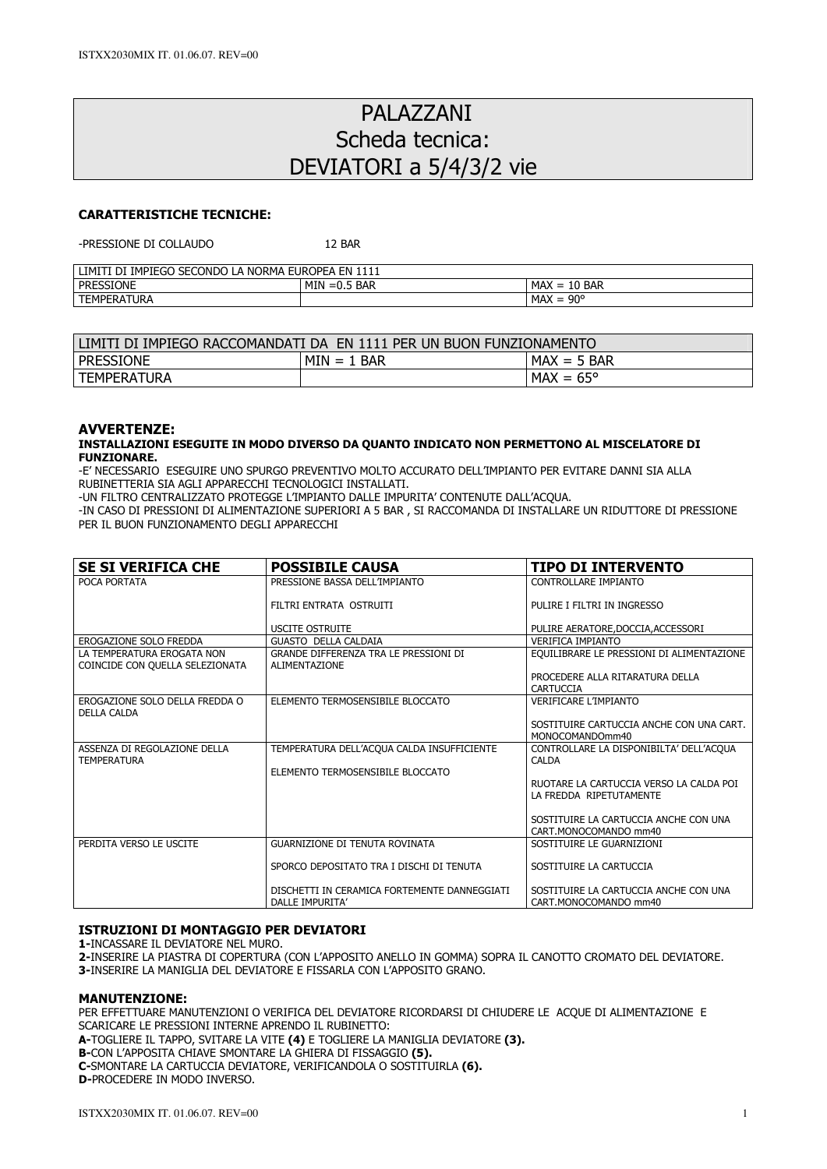# PALAZZANI Scheda tecnica: DEVIATORI a 5/4/3/2 vie

# CARATTERISTICHE TECNICHE:

-PRESSIONE DI COLLALIDO 12 BAR

| SECONDO LA NORMA<br>IMPIEGO<br><b>EUROPEA</b><br>LIMIT <sup>T</sup><br>EN.<br>1111<br>DI |                   |                                     |  |  |
|------------------------------------------------------------------------------------------|-------------------|-------------------------------------|--|--|
| l pressione                                                                              | MIN<br>$=0.5$ BAR | MAX<br>$\sim$<br>BAR<br>$=$<br>. TO |  |  |
| <b>TEMPERATURA</b>                                                                       |                   | . 90°<br><b>MAX</b><br>-            |  |  |

| LIMITI DI IMPIEGO RACCOMANDATI DA  EN 1111 PER UN BUON FUNZIONAMENTO |               |                    |  |  |
|----------------------------------------------------------------------|---------------|--------------------|--|--|
| l pressione                                                          | $MIN = 1$ BAR | $MAX = 5$ BAR      |  |  |
| TEMPERATURA                                                          |               | $MAX = 65^{\circ}$ |  |  |

## AVVERTENZE:

## INSTALLAZIONI ESEGUITE IN MODO DIVERSO DA QUANTO INDICATO NON PERMETTONO AL MISCELATORE DI FUNZIONARE.

-E' NECESSARIO ESEGUIRE UNO SPURGO PREVENTIVO MOLTO ACCURATO DELL'IMPIANTO PER EVITARE DANNI SIA ALLA RUBINETTERIA SIA AGLI APPARECCHI TECNOLOGICI INSTALLATI.

-UN FILTRO CENTRALIZZATO PROTEGGE L'IMPIANTO DALLE IMPURITA' CONTENUTE DALL'ACQUA.

-IN CASO DI PRESSIONI DI ALIMENTAZIONE SUPERIORI A 5 BAR , SI RACCOMANDA DI INSTALLARE UN RIDUTTORE DI PRESSIONE PER IL BUON FUNZIONAMENTO DEGLI APPARECCHI

| <b>SE SI VERIFICA CHE</b>                                     | <b>POSSIBILE CAUSA</b>                                          | TIPO DI INTERVENTO                                                 |
|---------------------------------------------------------------|-----------------------------------------------------------------|--------------------------------------------------------------------|
| POCA PORTATA                                                  | PRESSIONE BASSA DELL'IMPIANTO                                   | CONTROLLARE IMPIANTO                                               |
|                                                               | FILTRI ENTRATA OSTRUITI                                         | PULIRE I FILTRI IN INGRESSO                                        |
|                                                               | <b>USCITE OSTRUITE</b>                                          | PULIRE AERATORE, DOCCIA, ACCESSORI                                 |
| EROGAZIONE SOLO FREDDA                                        | <b>GUASTO DELLA CALDAIA</b>                                     | <b>VERIFICA IMPIANTO</b>                                           |
| LA TEMPERATURA EROGATA NON<br>COINCIDE CON OUELLA SELEZIONATA | GRANDE DIFFERENZA TRA LE PRESSIONI DI<br>ALIMENTAZIONE          | EQUILIBRARE LE PRESSIONI DI ALIMENTAZIONE                          |
|                                                               |                                                                 | PROCEDERE ALLA RITARATURA DELLA<br>CARTUCCIA                       |
| EROGAZIONE SOLO DELLA FREDDA O<br><b>DELLA CALDA</b>          | ELEMENTO TERMOSENSIBILE BLOCCATO                                | <b>VERIFICARE L'IMPIANTO</b>                                       |
|                                                               |                                                                 | SOSTITUIRE CARTUCCIA ANCHE CON UNA CART.<br>MONOCOMANDOmm40        |
| ASSENZA DI REGOLAZIONE DELLA<br><b>TEMPERATURA</b>            | TEMPERATURA DELL'ACQUA CALDA INSUFFICIENTE                      | CONTROLLARE LA DISPONIBILTA' DELL'ACQUA<br><b>CALDA</b>            |
|                                                               | ELEMENTO TERMOSENSIBILE BLOCCATO                                |                                                                    |
|                                                               |                                                                 | RUOTARE LA CARTUCCIA VERSO LA CALDA POI<br>LA FREDDA RIPETUTAMENTE |
|                                                               |                                                                 | SOSTITUIRE LA CARTUCCIA ANCHE CON UNA<br>CART.MONOCOMANDO mm40     |
| PERDITA VERSO LE USCITE                                       | <b>GUARNIZIONE DI TENUTA ROVINATA</b>                           | SOSTITUIRE LE GUARNIZIONI                                          |
|                                                               | SPORCO DEPOSITATO TRA I DISCHI DI TENUTA                        | SOSTITUIRE LA CARTUCCIA                                            |
|                                                               | DISCHETTI IN CERAMICA FORTEMENTE DANNEGGIATI<br>DALLE IMPURITA' | SOSTITUIRE LA CARTUCCIA ANCHE CON UNA<br>CART.MONOCOMANDO mm40     |

#### ISTRUZIONI DI MONTAGGIO PER DEVIATORI

1-INCASSARE IL DEVIATORE NEL MURO.

2-INSERIRE LA PIASTRA DI COPERTURA (CON L'APPOSITO ANELLO IN GOMMA) SOPRA IL CANOTTO CROMATO DEL DEVIATORE. 3-INSERIRE LA MANIGLIA DEL DEVIATORE E FISSARLA CON L'APPOSITO GRANO.

#### MANUTENZIONE:

PER EFFETTUARE MANUTENZIONI O VERIFICA DEL DEVIATORE RICORDARSI DI CHIUDERE LE ACQUE DI ALIMENTAZIONE E SCARICARE LE PRESSIONI INTERNE APRENDO IL RUBINETTO:

A-TOGLIERE IL TAPPO, SVITARE LA VITE (4) E TOGLIERE LA MANIGLIA DEVIATORE (3).

B-CON L'APPOSITA CHIAVE SMONTARE LA GHIERA DI FISSAGGIO (5).

C-SMONTARE LA CARTUCCIA DEVIATORE, VERIFICANDOLA O SOSTITUIRLA (6).

D-PROCEDERE IN MODO INVERSO.